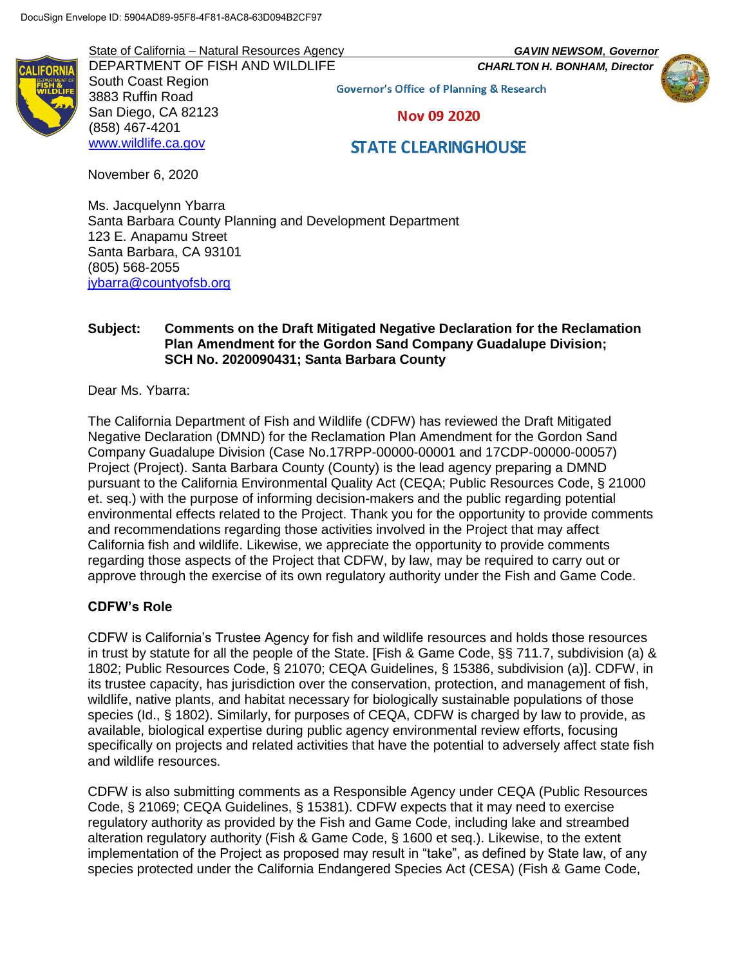State of California – Natural Resources Agency *GAVIN NEWSOM*, *Governor*

DEPARTMENT OF FISH AND WILDLIFE *CHARLTON H. BONHAM, Director* South Coast Region 3883 Ruffin Road San Diego, CA 82123 (858) 467-4201 [www.wildlife.ca.gov](http://www.wildlife.ca.gov/)

**Governor's Office of Planning & Research Nov 09 2020** 

# **STATE CLEARINGHOUSE**

November 6, 2020

Ms. Jacquelynn Ybarra Santa Barbara County Planning and Development Department 123 E. Anapamu Street Santa Barbara, CA 93101 (805) 568-2055 [jybarra@countyofsb.org](mailto:jybarra@countyofsb.org)

## **Subject: Comments on the Draft Mitigated Negative Declaration for the Reclamation Plan Amendment for the Gordon Sand Company Guadalupe Division; SCH No. 2020090431; Santa Barbara County**

Dear Ms. Ybarra:

The California Department of Fish and Wildlife (CDFW) has reviewed the Draft Mitigated Negative Declaration (DMND) for the Reclamation Plan Amendment for the Gordon Sand Company Guadalupe Division (Case No.17RPP-00000-00001 and 17CDP-00000-00057) Project (Project). Santa Barbara County (County) is the lead agency preparing a DMND pursuant to the California Environmental Quality Act (CEQA; Public Resources Code, § 21000 et. seq.) with the purpose of informing decision-makers and the public regarding potential environmental effects related to the Project. Thank you for the opportunity to provide comments and recommendations regarding those activities involved in the Project that may affect California fish and wildlife. Likewise, we appreciate the opportunity to provide comments regarding those aspects of the Project that CDFW, by law, may be required to carry out or approve through the exercise of its own regulatory authority under the Fish and Game Code.

# **CDFW's Role**

CDFW is California's Trustee Agency for fish and wildlife resources and holds those resources in trust by statute for all the people of the State. [Fish & Game Code, §§ 711.7, subdivision (a) & 1802; Public Resources Code, § 21070; CEQA Guidelines, § 15386, subdivision (a)]. CDFW, in its trustee capacity, has jurisdiction over the conservation, protection, and management of fish, wildlife, native plants, and habitat necessary for biologically sustainable populations of those species (Id., § 1802). Similarly, for purposes of CEQA, CDFW is charged by law to provide, as available, biological expertise during public agency environmental review efforts, focusing specifically on projects and related activities that have the potential to adversely affect state fish and wildlife resources.

CDFW is also submitting comments as a Responsible Agency under CEQA (Public Resources Code, § 21069; CEQA Guidelines, § 15381). CDFW expects that it may need to exercise regulatory authority as provided by the Fish and Game Code, including lake and streambed alteration regulatory authority (Fish & Game Code, § 1600 et seq.). Likewise, to the extent implementation of the Project as proposed may result in "take", as defined by State law, of any species protected under the California Endangered Species Act (CESA) (Fish & Game Code,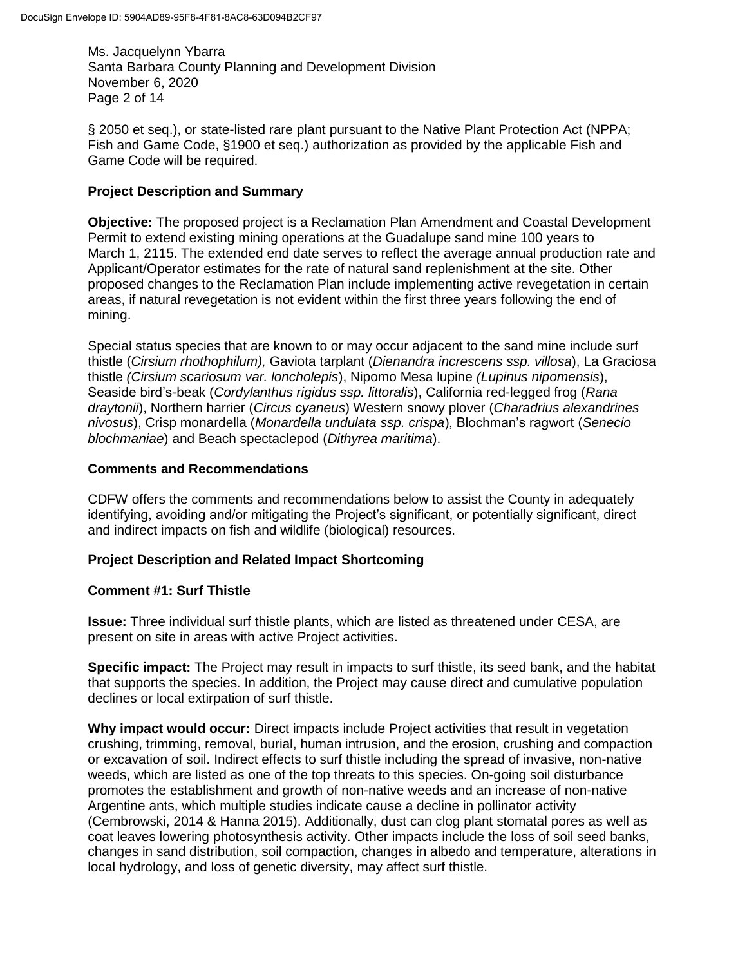Ms. Jacquelynn Ybarra Santa Barbara County Planning and Development Division November 6, 2020 Page 2 of 14

§ 2050 et seq.), or state-listed rare plant pursuant to the Native Plant Protection Act (NPPA; Fish and Game Code, §1900 et seq.) authorization as provided by the applicable Fish and Game Code will be required.

## **Project Description and Summary**

**Objective:** The proposed project is a Reclamation Plan Amendment and Coastal Development Permit to extend existing mining operations at the Guadalupe sand mine 100 years to March 1, 2115. The extended end date serves to reflect the average annual production rate and Applicant/Operator estimates for the rate of natural sand replenishment at the site. Other proposed changes to the Reclamation Plan include implementing active revegetation in certain areas, if natural revegetation is not evident within the first three years following the end of mining.

Special status species that are known to or may occur adjacent to the sand mine include surf thistle (*Cirsium rhothophilum),* Gaviota tarplant (*Dienandra increscens ssp. villosa*), La Graciosa thistle *(Cirsium scariosum var. loncholepis*), Nipomo Mesa lupine *(Lupinus nipomensis*), Seaside bird's-beak (*Cordylanthus rigidus ssp. littoralis*), California red-legged frog (*Rana draytonii*), Northern harrier (*Circus cyaneus*) Western snowy plover (*Charadrius alexandrines nivosus*), Crisp monardella (*Monardella undulata ssp. crispa*), Blochman's ragwort (*Senecio blochmaniae*) and Beach spectaclepod (*Dithyrea maritima*).

#### **Comments and Recommendations**

CDFW offers the comments and recommendations below to assist the County in adequately identifying, avoiding and/or mitigating the Project's significant, or potentially significant, direct and indirect impacts on fish and wildlife (biological) resources.

#### **Project Description and Related Impact Shortcoming**

#### **Comment #1: Surf Thistle**

**Issue:** Three individual surf thistle plants, which are listed as threatened under CESA, are present on site in areas with active Project activities.

**Specific impact:** The Project may result in impacts to surf thistle, its seed bank, and the habitat that supports the species. In addition, the Project may cause direct and cumulative population declines or local extirpation of surf thistle.

**Why impact would occur:** Direct impacts include Project activities that result in vegetation crushing, trimming, removal, burial, human intrusion, and the erosion, crushing and compaction or excavation of soil. Indirect effects to surf thistle including the spread of invasive, non-native weeds, which are listed as one of the top threats to this species. On-going soil disturbance promotes the establishment and growth of non-native weeds and an increase of non-native Argentine ants, which multiple studies indicate cause a decline in pollinator activity (Cembrowski, 2014 & Hanna 2015). Additionally, dust can clog plant stomatal pores as well as coat leaves lowering photosynthesis activity. Other impacts include the loss of soil seed banks, changes in sand distribution, soil compaction, changes in albedo and temperature, alterations in local hydrology, and loss of genetic diversity, may affect surf thistle.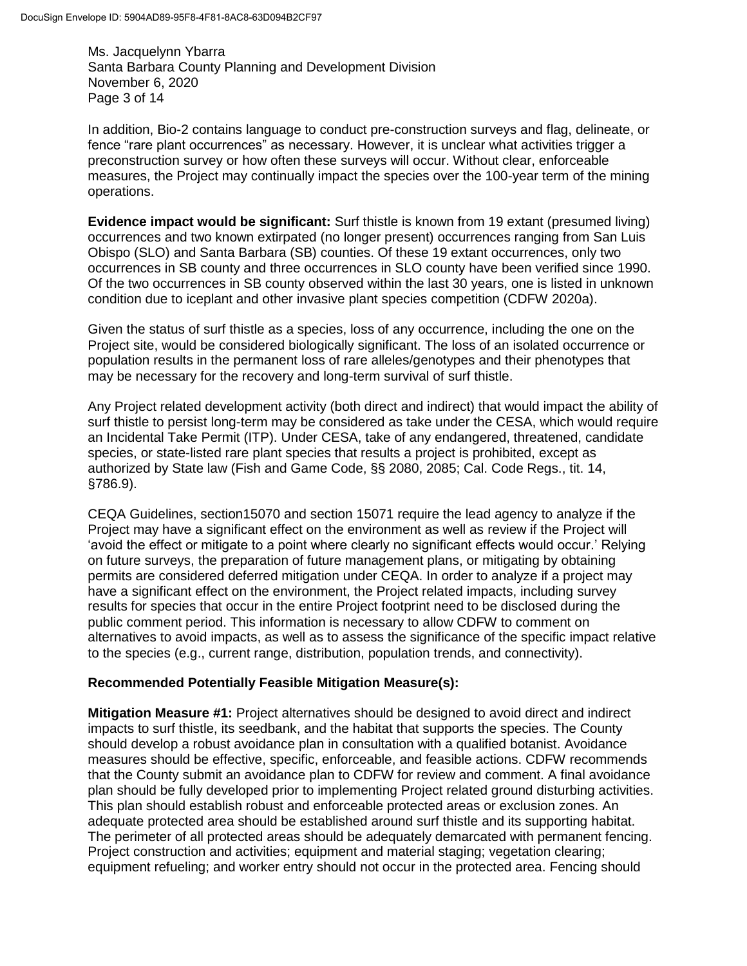Ms. Jacquelynn Ybarra Santa Barbara County Planning and Development Division November 6, 2020 Page 3 of 14

In addition, Bio-2 contains language to conduct pre-construction surveys and flag, delineate, or fence "rare plant occurrences" as necessary. However, it is unclear what activities trigger a preconstruction survey or how often these surveys will occur. Without clear, enforceable measures, the Project may continually impact the species over the 100-year term of the mining operations.

**Evidence impact would be significant:** Surf thistle is known from 19 extant (presumed living) occurrences and two known extirpated (no longer present) occurrences ranging from San Luis Obispo (SLO) and Santa Barbara (SB) counties. Of these 19 extant occurrences, only two occurrences in SB county and three occurrences in SLO county have been verified since 1990. Of the two occurrences in SB county observed within the last 30 years, one is listed in unknown condition due to iceplant and other invasive plant species competition (CDFW 2020a).

Given the status of surf thistle as a species, loss of any occurrence, including the one on the Project site, would be considered biologically significant. The loss of an isolated occurrence or population results in the permanent loss of rare alleles/genotypes and their phenotypes that may be necessary for the recovery and long-term survival of surf thistle.

Any Project related development activity (both direct and indirect) that would impact the ability of surf thistle to persist long-term may be considered as take under the CESA, which would require an Incidental Take Permit (ITP). Under CESA, take of any endangered, threatened, candidate species, or state-listed rare plant species that results a project is prohibited, except as authorized by State law (Fish and Game Code, §§ 2080, 2085; Cal. Code Regs., tit. 14, §786.9).

CEQA Guidelines, section15070 and section 15071 require the lead agency to analyze if the Project may have a significant effect on the environment as well as review if the Project will 'avoid the effect or mitigate to a point where clearly no significant effects would occur.' Relying on future surveys, the preparation of future management plans, or mitigating by obtaining permits are considered deferred mitigation under CEQA. In order to analyze if a project may have a significant effect on the environment, the Project related impacts, including survey results for species that occur in the entire Project footprint need to be disclosed during the public comment period. This information is necessary to allow CDFW to comment on alternatives to avoid impacts, as well as to assess the significance of the specific impact relative to the species (e.g., current range, distribution, population trends, and connectivity).

# **Recommended Potentially Feasible Mitigation Measure(s):**

**Mitigation Measure #1:** Project alternatives should be designed to avoid direct and indirect impacts to surf thistle, its seedbank, and the habitat that supports the species. The County should develop a robust avoidance plan in consultation with a qualified botanist. Avoidance measures should be effective, specific, enforceable, and feasible actions. CDFW recommends that the County submit an avoidance plan to CDFW for review and comment. A final avoidance plan should be fully developed prior to implementing Project related ground disturbing activities. This plan should establish robust and enforceable protected areas or exclusion zones. An adequate protected area should be established around surf thistle and its supporting habitat. The perimeter of all protected areas should be adequately demarcated with permanent fencing. Project construction and activities; equipment and material staging; vegetation clearing; equipment refueling; and worker entry should not occur in the protected area. Fencing should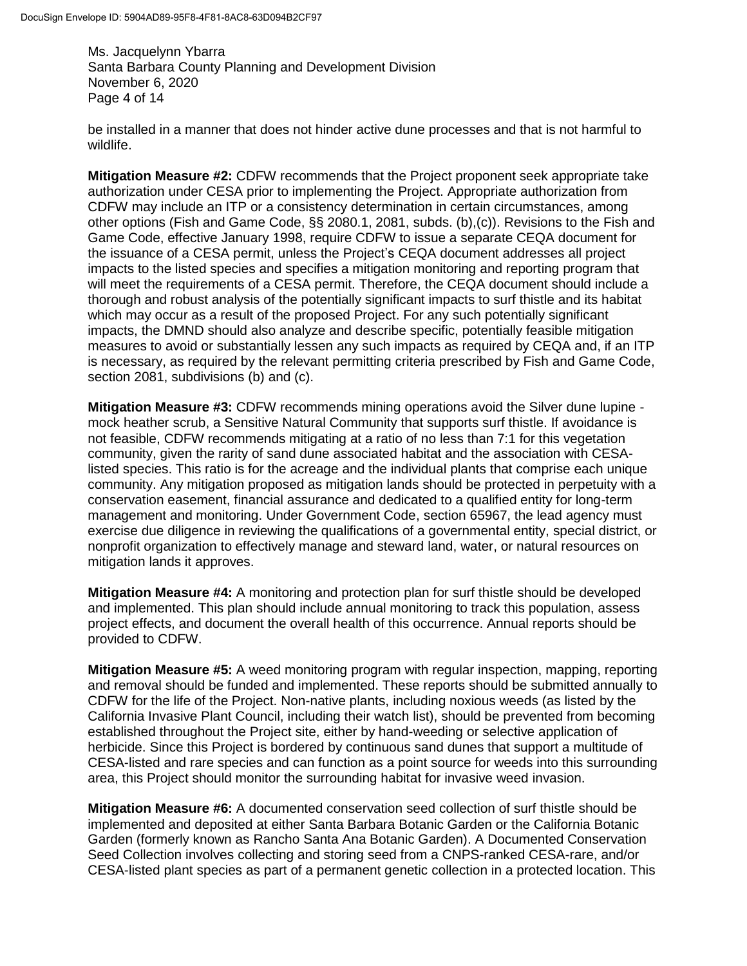Ms. Jacquelynn Ybarra Santa Barbara County Planning and Development Division November 6, 2020 Page 4 of 14

be installed in a manner that does not hinder active dune processes and that is not harmful to wildlife.

**Mitigation Measure #2:** CDFW recommends that the Project proponent seek appropriate take authorization under CESA prior to implementing the Project. Appropriate authorization from CDFW may include an ITP or a consistency determination in certain circumstances, among other options (Fish and Game Code, §§ 2080.1, 2081, subds. (b),(c)). Revisions to the Fish and Game Code, effective January 1998, require CDFW to issue a separate CEQA document for the issuance of a CESA permit, unless the Project's CEQA document addresses all project impacts to the listed species and specifies a mitigation monitoring and reporting program that will meet the requirements of a CESA permit. Therefore, the CEQA document should include a thorough and robust analysis of the potentially significant impacts to surf thistle and its habitat which may occur as a result of the proposed Project. For any such potentially significant impacts, the DMND should also analyze and describe specific, potentially feasible mitigation measures to avoid or substantially lessen any such impacts as required by CEQA and, if an ITP is necessary, as required by the relevant permitting criteria prescribed by Fish and Game Code, section 2081, subdivisions (b) and (c).

**Mitigation Measure #3:** CDFW recommends mining operations avoid the Silver dune lupine mock heather scrub, a Sensitive Natural Community that supports surf thistle. If avoidance is not feasible, CDFW recommends mitigating at a ratio of no less than 7:1 for this vegetation community, given the rarity of sand dune associated habitat and the association with CESAlisted species. This ratio is for the acreage and the individual plants that comprise each unique community. Any mitigation proposed as mitigation lands should be protected in perpetuity with a conservation easement, financial assurance and dedicated to a qualified entity for long-term management and monitoring. Under Government Code, section 65967, the lead agency must exercise due diligence in reviewing the qualifications of a governmental entity, special district, or nonprofit organization to effectively manage and steward land, water, or natural resources on mitigation lands it approves.

**Mitigation Measure #4:** A monitoring and protection plan for surf thistle should be developed and implemented. This plan should include annual monitoring to track this population, assess project effects, and document the overall health of this occurrence. Annual reports should be provided to CDFW.

**Mitigation Measure #5:** A weed monitoring program with regular inspection, mapping, reporting and removal should be funded and implemented. These reports should be submitted annually to CDFW for the life of the Project. Non-native plants, including noxious weeds (as listed by the California Invasive Plant Council, including their watch list), should be prevented from becoming established throughout the Project site, either by hand-weeding or selective application of herbicide. Since this Project is bordered by continuous sand dunes that support a multitude of CESA-listed and rare species and can function as a point source for weeds into this surrounding area, this Project should monitor the surrounding habitat for invasive weed invasion.

**Mitigation Measure #6:** A documented conservation seed collection of surf thistle should be implemented and deposited at either Santa Barbara Botanic Garden or the California Botanic Garden (formerly known as Rancho Santa Ana Botanic Garden). A Documented Conservation Seed Collection involves collecting and storing seed from a CNPS-ranked CESA-rare, and/or CESA-listed plant species as part of a permanent genetic collection in a protected location. This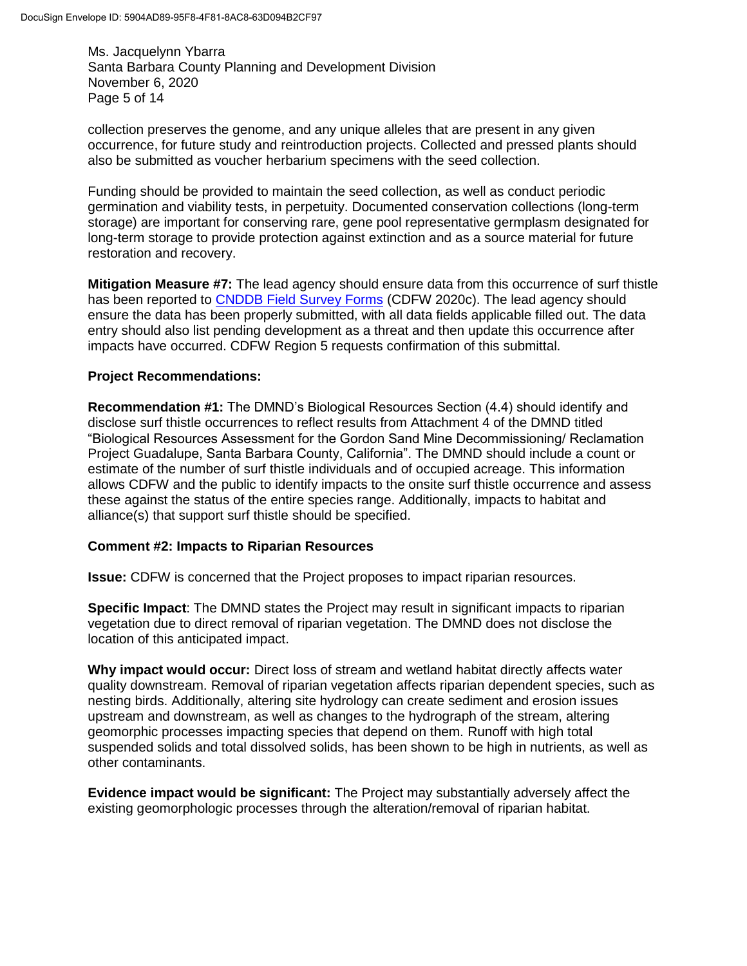Ms. Jacquelynn Ybarra Santa Barbara County Planning and Development Division November 6, 2020 Page 5 of 14

collection preserves the genome, and any unique alleles that are present in any given occurrence, for future study and reintroduction projects. Collected and pressed plants should also be submitted as voucher herbarium specimens with the seed collection.

Funding should be provided to maintain the seed collection, as well as conduct periodic germination and viability tests, in perpetuity. Documented conservation collections (long-term storage) are important for conserving rare, gene pool representative germplasm designated for long-term storage to provide protection against extinction and as a source material for future restoration and recovery.

**Mitigation Measure #7:** The lead agency should ensure data from this occurrence of surf thistle has been reported to [CNDDB Field Survey Forms](https://wildlife.ca.gov/Data/CNDDB/Submitting-Data) (CDFW 2020c). The lead agency should ensure the data has been properly submitted, with all data fields applicable filled out. The data entry should also list pending development as a threat and then update this occurrence after impacts have occurred. CDFW Region 5 requests confirmation of this submittal.

## **Project Recommendations:**

**Recommendation #1:** The DMND's Biological Resources Section (4.4) should identify and disclose surf thistle occurrences to reflect results from Attachment 4 of the DMND titled "Biological Resources Assessment for the Gordon Sand Mine Decommissioning/ Reclamation Project Guadalupe, Santa Barbara County, California". The DMND should include a count or estimate of the number of surf thistle individuals and of occupied acreage. This information allows CDFW and the public to identify impacts to the onsite surf thistle occurrence and assess these against the status of the entire species range. Additionally, impacts to habitat and alliance(s) that support surf thistle should be specified.

#### **Comment #2: Impacts to Riparian Resources**

**Issue:** CDFW is concerned that the Project proposes to impact riparian resources.

**Specific Impact**: The DMND states the Project may result in significant impacts to riparian vegetation due to direct removal of riparian vegetation. The DMND does not disclose the location of this anticipated impact.

**Why impact would occur:** Direct loss of stream and wetland habitat directly affects water quality downstream. Removal of riparian vegetation affects riparian dependent species, such as nesting birds. Additionally, altering site hydrology can create sediment and erosion issues upstream and downstream, as well as changes to the hydrograph of the stream, altering geomorphic processes impacting species that depend on them. Runoff with high total suspended solids and total dissolved solids, has been shown to be high in nutrients, as well as other contaminants.

**Evidence impact would be significant:** The Project may substantially adversely affect the existing geomorphologic processes through the alteration/removal of riparian habitat.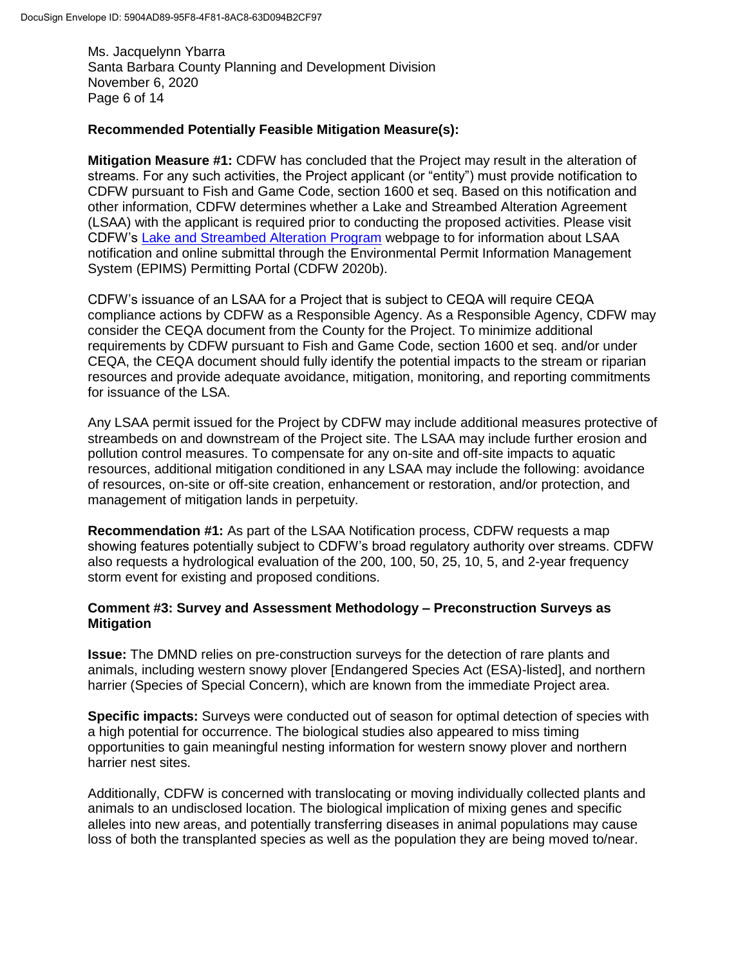Ms. Jacquelynn Ybarra Santa Barbara County Planning and Development Division November 6, 2020 Page 6 of 14

## **Recommended Potentially Feasible Mitigation Measure(s):**

**Mitigation Measure #1:** CDFW has concluded that the Project may result in the alteration of streams. For any such activities, the Project applicant (or "entity") must provide notification to CDFW pursuant to Fish and Game Code, section 1600 et seq. Based on this notification and other information, CDFW determines whether a Lake and Streambed Alteration Agreement (LSAA) with the applicant is required prior to conducting the proposed activities. Please visit CDFW's [Lake and Streambed Alteration Program](https://wildlife.ca.gov/Conservation/LSA) webpage to for information about LSAA notification and online submittal through the Environmental Permit Information Management System (EPIMS) Permitting Portal (CDFW 2020b).

CDFW's issuance of an LSAA for a Project that is subject to CEQA will require CEQA compliance actions by CDFW as a Responsible Agency. As a Responsible Agency, CDFW may consider the CEQA document from the County for the Project. To minimize additional requirements by CDFW pursuant to Fish and Game Code, section 1600 et seq. and/or under CEQA, the CEQA document should fully identify the potential impacts to the stream or riparian resources and provide adequate avoidance, mitigation, monitoring, and reporting commitments for issuance of the LSA.

Any LSAA permit issued for the Project by CDFW may include additional measures protective of streambeds on and downstream of the Project site. The LSAA may include further erosion and pollution control measures. To compensate for any on-site and off-site impacts to aquatic resources, additional mitigation conditioned in any LSAA may include the following: avoidance of resources, on-site or off-site creation, enhancement or restoration, and/or protection, and management of mitigation lands in perpetuity.

**Recommendation #1:** As part of the LSAA Notification process, CDFW requests a map showing features potentially subject to CDFW's broad regulatory authority over streams. CDFW also requests a hydrological evaluation of the 200, 100, 50, 25, 10, 5, and 2-year frequency storm event for existing and proposed conditions.

## **Comment #3: Survey and Assessment Methodology – Preconstruction Surveys as Mitigation**

**Issue:** The DMND relies on pre-construction surveys for the detection of rare plants and animals, including western snowy plover [Endangered Species Act (ESA)-listed], and northern harrier (Species of Special Concern), which are known from the immediate Project area.

**Specific impacts:** Surveys were conducted out of season for optimal detection of species with a high potential for occurrence. The biological studies also appeared to miss timing opportunities to gain meaningful nesting information for western snowy plover and northern harrier nest sites.

Additionally, CDFW is concerned with translocating or moving individually collected plants and animals to an undisclosed location. The biological implication of mixing genes and specific alleles into new areas, and potentially transferring diseases in animal populations may cause loss of both the transplanted species as well as the population they are being moved to/near.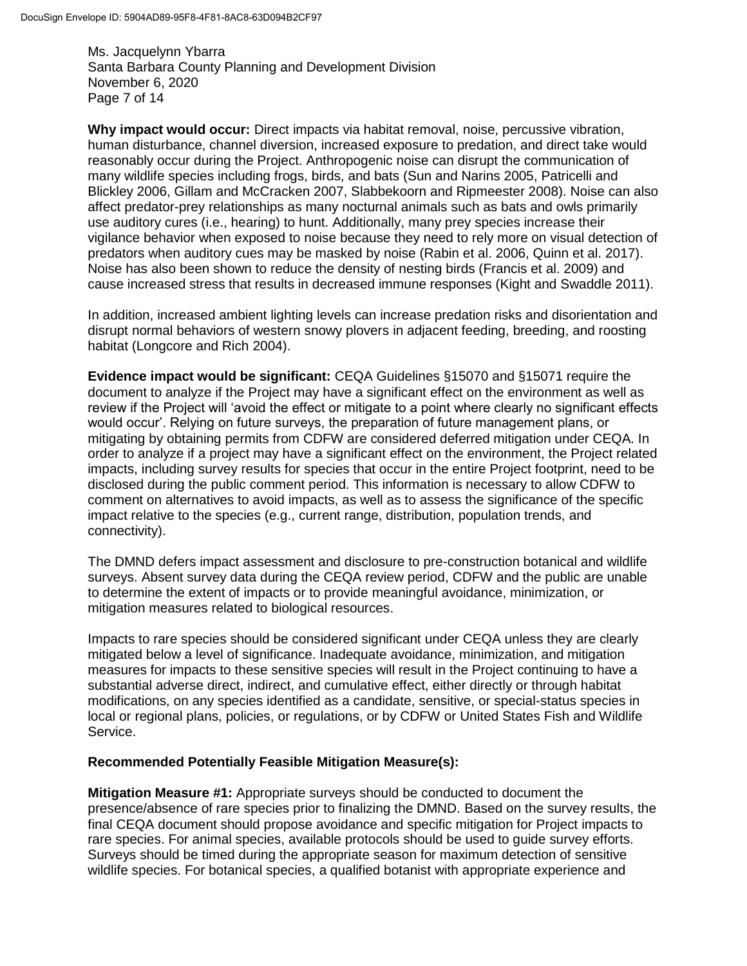Ms. Jacquelynn Ybarra Santa Barbara County Planning and Development Division November 6, 2020 Page 7 of 14

**Why impact would occur:** Direct impacts via habitat removal, noise, percussive vibration, human disturbance, channel diversion, increased exposure to predation, and direct take would reasonably occur during the Project. Anthropogenic noise can disrupt the communication of many wildlife species including frogs, birds, and bats (Sun and Narins 2005, Patricelli and Blickley 2006, Gillam and McCracken 2007, Slabbekoorn and Ripmeester 2008). Noise can also affect predator-prey relationships as many nocturnal animals such as bats and owls primarily use auditory cures (i.e., hearing) to hunt. Additionally, many prey species increase their vigilance behavior when exposed to noise because they need to rely more on visual detection of predators when auditory cues may be masked by noise (Rabin et al. 2006, Quinn et al. 2017). Noise has also been shown to reduce the density of nesting birds (Francis et al. 2009) and cause increased stress that results in decreased immune responses (Kight and Swaddle 2011).

In addition, increased ambient lighting levels can increase predation risks and disorientation and disrupt normal behaviors of western snowy plovers in adjacent feeding, breeding, and roosting habitat (Longcore and Rich 2004).

**Evidence impact would be significant:** CEQA Guidelines §15070 and §15071 require the document to analyze if the Project may have a significant effect on the environment as well as review if the Project will 'avoid the effect or mitigate to a point where clearly no significant effects would occur'. Relying on future surveys, the preparation of future management plans, or mitigating by obtaining permits from CDFW are considered deferred mitigation under CEQA. In order to analyze if a project may have a significant effect on the environment, the Project related impacts, including survey results for species that occur in the entire Project footprint, need to be disclosed during the public comment period. This information is necessary to allow CDFW to comment on alternatives to avoid impacts, as well as to assess the significance of the specific impact relative to the species (e.g., current range, distribution, population trends, and connectivity).

The DMND defers impact assessment and disclosure to pre-construction botanical and wildlife surveys. Absent survey data during the CEQA review period, CDFW and the public are unable to determine the extent of impacts or to provide meaningful avoidance, minimization, or mitigation measures related to biological resources.

Impacts to rare species should be considered significant under CEQA unless they are clearly mitigated below a level of significance. Inadequate avoidance, minimization, and mitigation measures for impacts to these sensitive species will result in the Project continuing to have a substantial adverse direct, indirect, and cumulative effect, either directly or through habitat modifications, on any species identified as a candidate, sensitive, or special-status species in local or regional plans, policies, or regulations, or by CDFW or United States Fish and Wildlife Service.

#### **Recommended Potentially Feasible Mitigation Measure(s):**

**Mitigation Measure #1:** Appropriate surveys should be conducted to document the presence/absence of rare species prior to finalizing the DMND. Based on the survey results, the final CEQA document should propose avoidance and specific mitigation for Project impacts to rare species. For animal species, available protocols should be used to guide survey efforts. Surveys should be timed during the appropriate season for maximum detection of sensitive wildlife species. For botanical species, a qualified botanist with appropriate experience and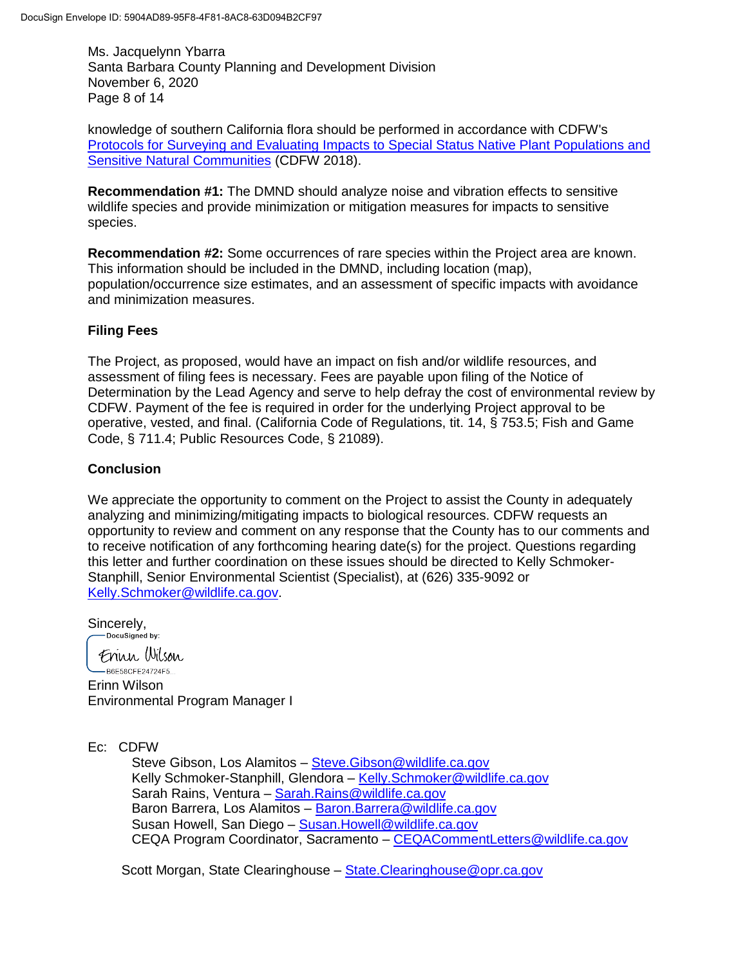Ms. Jacquelynn Ybarra Santa Barbara County Planning and Development Division November 6, 2020 Page 8 of 14

knowledge of southern California flora should be performed in accordance with CDFW's Protocols for [Surveying and Evaluating Impacts to Special Status Native Plant Populations and](https://nrm.dfg.ca.gov/FileHandler.ashx?DocumentID=18959&inline)  [Sensitive Natural Communities](https://nrm.dfg.ca.gov/FileHandler.ashx?DocumentID=18959&inline) (CDFW 2018).

**Recommendation #1:** The DMND should analyze noise and vibration effects to sensitive wildlife species and provide minimization or mitigation measures for impacts to sensitive species.

**Recommendation #2:** Some occurrences of rare species within the Project area are known. This information should be included in the DMND, including location (map), population/occurrence size estimates, and an assessment of specific impacts with avoidance and minimization measures.

## **Filing Fees**

The Project, as proposed, would have an impact on fish and/or wildlife resources, and assessment of filing fees is necessary. Fees are payable upon filing of the Notice of Determination by the Lead Agency and serve to help defray the cost of environmental review by CDFW. Payment of the fee is required in order for the underlying Project approval to be operative, vested, and final. (California Code of Regulations, tit. 14, § 753.5; Fish and Game Code, § 711.4; Public Resources Code, § 21089).

## **Conclusion**

We appreciate the opportunity to comment on the Project to assist the County in adequately analyzing and minimizing/mitigating impacts to biological resources. CDFW requests an opportunity to review and comment on any response that the County has to our comments and to receive notification of any forthcoming hearing date(s) for the project. Questions regarding this letter and further coordination on these issues should be directed to Kelly Schmoker-Stanphill, Senior Environmental Scientist (Specialist), at (626) 335-9092 or [Kelly.Schmoker@wildlife.ca.gov.](mailto:Kelly.Schmoker@wildlife.ca.gov)

Sincerely,<br>
Pocusigned by:

Frinn Wilson -B6E58CFE24724F5...

Erinn Wilson Environmental Program Manager I

Ec: CDFW

Steve Gibson, Los Alamitos – [Steve.Gibson@wildlife.ca.gov](mailto:Steve.Gibson@wildlife.ca.gov) Kelly Schmoker-Stanphill, Glendora - [Kelly.Schmoker@wildlife.ca.gov](mailto:Kelly.Schmoker@wildlife.ca.gov) Sarah Rains, Ventura – [Sarah.Rains@wildlife.ca.gov](mailto:Sarah.Rains@wildlife.ca.gov) Baron Barrera, Los Alamitos – [Baron.Barrera@wildlife.ca.gov](mailto:Baron.Barrera@wildlife.ca.gov) Susan Howell, San Diego – [Susan.Howell@wildlife.ca.gov](mailto:Susan.Howell@wildlife.ca.gov) CEQA Program Coordinator, Sacramento – [CEQACommentLetters@wildlife.ca.gov](mailto:CEQACommentLetters@wildlife.ca.gov)

Scott Morgan, State Clearinghouse - State. Clearinghouse@opr.ca.gov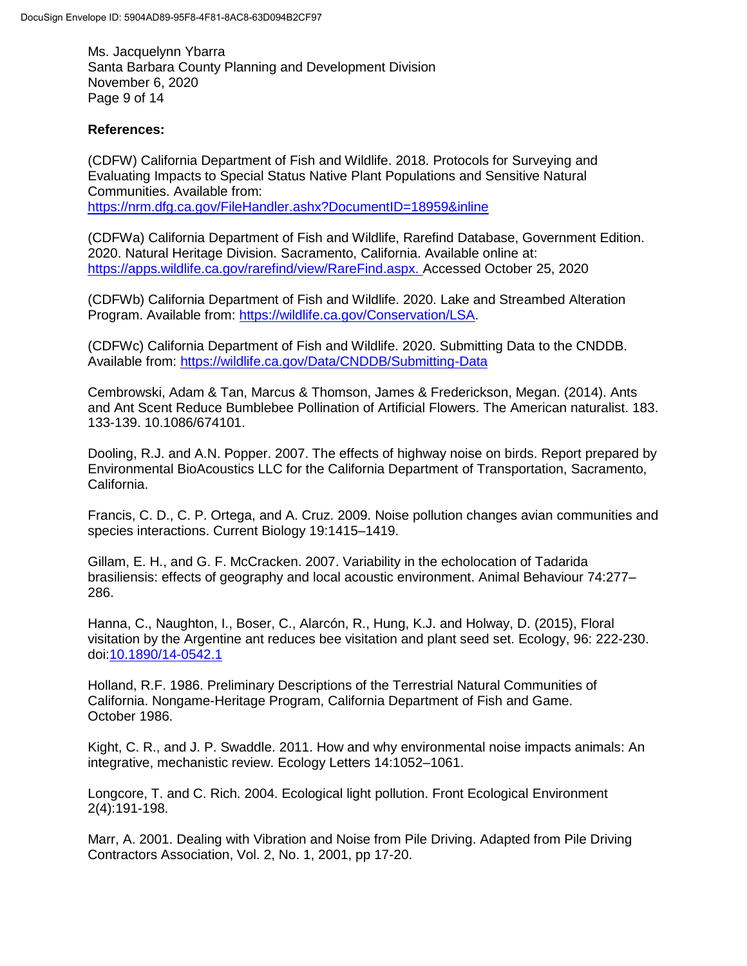Ms. Jacquelynn Ybarra Santa Barbara County Planning and Development Division November 6, 2020 Page 9 of 14

## **References:**

(CDFW) California Department of Fish and Wildlife. 2018. Protocols for Surveying and Evaluating Impacts to Special Status Native Plant Populations and Sensitive Natural Communities. Available from: <https://nrm.dfg.ca.gov/FileHandler.ashx?DocumentID=18959&inline>

(CDFWa) California Department of Fish and Wildlife, Rarefind Database, Government Edition. 2020. Natural Heritage Division. Sacramento, California. Available online at: [https://apps.wildlife.ca.gov/rarefind/view/RareFind.aspx. Accessed October 25,](https://apps.wildlife.ca.gov/rarefind/view/RareFind.aspx.%20Accessed%20October%2025) 2020

(CDFWb) California Department of Fish and Wildlife. 2020. Lake and Streambed Alteration Program. Available from: [https://wildlife.ca.gov/Conservation/LSA.](https://wildlife.ca.gov/Conservation/LSA)

(CDFWc) California Department of Fish and Wildlife. 2020. Submitting Data to the CNDDB. Available from:<https://wildlife.ca.gov/Data/CNDDB/Submitting-Data>

Cembrowski, Adam & Tan, Marcus & Thomson, James & Frederickson, Megan. (2014). Ants and Ant Scent Reduce Bumblebee Pollination of Artificial Flowers. The American naturalist. 183. 133-139. 10.1086/674101.

Dooling, R.J. and A.N. Popper. 2007. The effects of highway noise on birds. Report prepared by Environmental BioAcoustics LLC for the California Department of Transportation, Sacramento, California.

Francis, C. D., C. P. Ortega, and A. Cruz. 2009. Noise pollution changes avian communities and species interactions. Current Biology 19:1415–1419.

Gillam, E. H., and G. F. McCracken. 2007. Variability in the echolocation of Tadarida brasiliensis: effects of geography and local acoustic environment. Animal Behaviour 74:277– 286.

Hanna, C., Naughton, I., Boser, C., Alarcón, R., Hung, K.J. and Holway, D. (2015), Floral visitation by the Argentine ant reduces bee visitation and plant seed set. Ecology, 96: 222-230. doi[:10.1890/14-0542.1](https://doi.org/10.1890/14-0542.1)

Holland, R.F. 1986. Preliminary Descriptions of the Terrestrial Natural Communities of California. Nongame-Heritage Program, California Department of Fish and Game. October 1986.

Kight, C. R., and J. P. Swaddle. 2011. How and why environmental noise impacts animals: An integrative, mechanistic review. Ecology Letters 14:1052–1061.

Longcore, T. and C. Rich. 2004. Ecological light pollution. Front Ecological Environment 2(4):191-198.

Marr, A. 2001. Dealing with Vibration and Noise from Pile Driving. Adapted from Pile Driving Contractors Association, Vol. 2, No. 1, 2001, pp 17-20.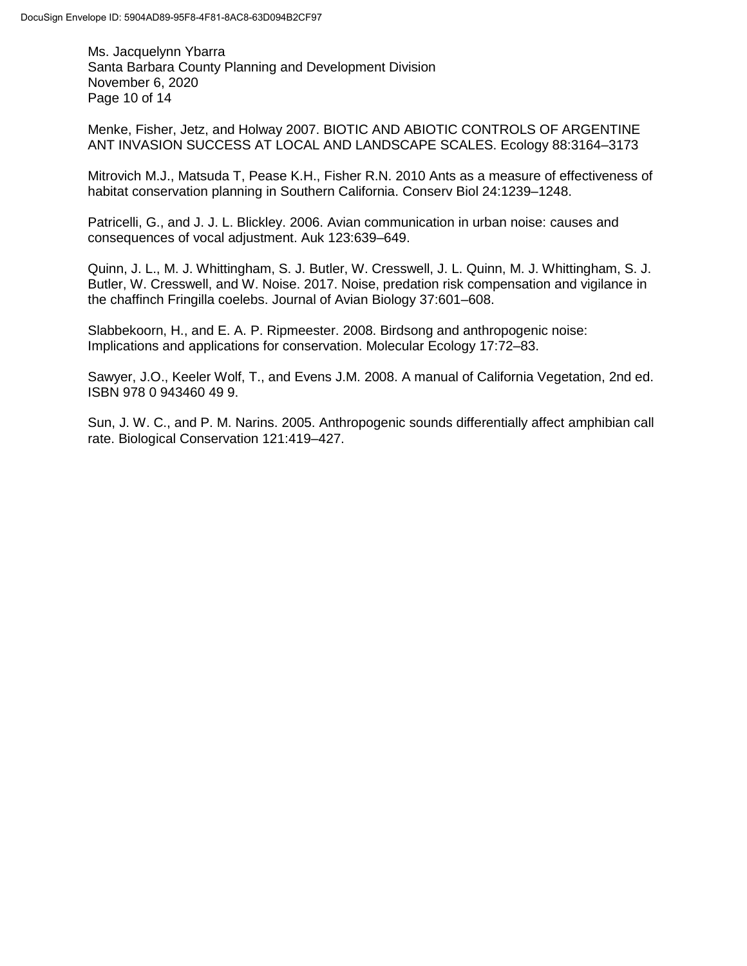Ms. Jacquelynn Ybarra Santa Barbara County Planning and Development Division November 6, 2020 Page 10 of 14

Menke, Fisher, Jetz, and Holway 2007. BIOTIC AND ABIOTIC CONTROLS OF ARGENTINE ANT INVASION SUCCESS AT LOCAL AND LANDSCAPE SCALES. Ecology 88:3164–3173

Mitrovich M.J., Matsuda T, Pease K.H., Fisher R.N. 2010 Ants as a measure of effectiveness of habitat conservation planning in Southern California. Conserv Biol 24:1239–1248.

Patricelli, G., and J. J. L. Blickley. 2006. Avian communication in urban noise: causes and consequences of vocal adjustment. Auk 123:639–649.

Quinn, J. L., M. J. Whittingham, S. J. Butler, W. Cresswell, J. L. Quinn, M. J. Whittingham, S. J. Butler, W. Cresswell, and W. Noise. 2017. Noise, predation risk compensation and vigilance in the chaffinch Fringilla coelebs. Journal of Avian Biology 37:601–608.

Slabbekoorn, H., and E. A. P. Ripmeester. 2008. Birdsong and anthropogenic noise: Implications and applications for conservation. Molecular Ecology 17:72–83.

Sawyer, J.O., Keeler Wolf, T., and Evens J.M. 2008. A manual of California Vegetation, 2nd ed. ISBN 978 0 943460 49 9.

Sun, J. W. C., and P. M. Narins. 2005. Anthropogenic sounds differentially affect amphibian call rate. Biological Conservation 121:419–427.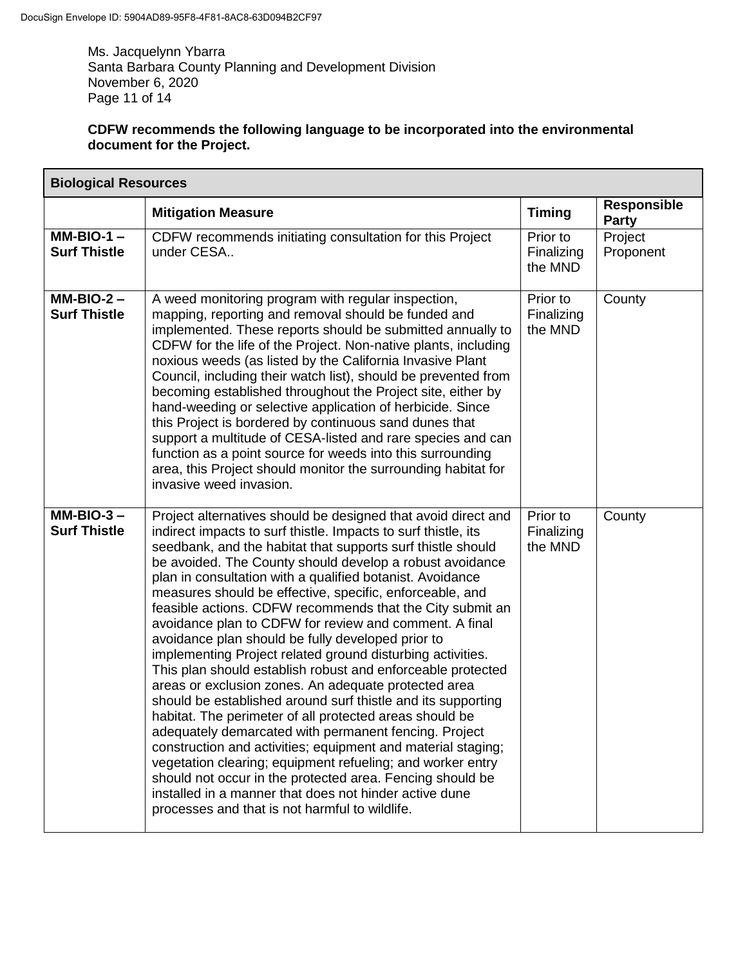Ms. Jacquelynn Ybarra Santa Barbara County Planning and Development Division November 6, 2020 Page 11 of 14

# **CDFW recommends the following language to be incorporated into the environmental document for the Project.**

| <b>Biological Resources</b>         |                                                                                                                                                                                                                                                                                                                                                                                                                                                                                                                                                                                                                                                                                                                                                                                                                                                                                                                                                                                                                                                                                                                                                                                                                                                 |                                   |                             |  |  |
|-------------------------------------|-------------------------------------------------------------------------------------------------------------------------------------------------------------------------------------------------------------------------------------------------------------------------------------------------------------------------------------------------------------------------------------------------------------------------------------------------------------------------------------------------------------------------------------------------------------------------------------------------------------------------------------------------------------------------------------------------------------------------------------------------------------------------------------------------------------------------------------------------------------------------------------------------------------------------------------------------------------------------------------------------------------------------------------------------------------------------------------------------------------------------------------------------------------------------------------------------------------------------------------------------|-----------------------------------|-----------------------------|--|--|
|                                     | <b>Mitigation Measure</b>                                                                                                                                                                                                                                                                                                                                                                                                                                                                                                                                                                                                                                                                                                                                                                                                                                                                                                                                                                                                                                                                                                                                                                                                                       | <b>Timing</b>                     | <b>Responsible</b><br>Party |  |  |
| $MM-BIO-1 -$<br><b>Surf Thistle</b> | CDFW recommends initiating consultation for this Project<br>under CESA                                                                                                                                                                                                                                                                                                                                                                                                                                                                                                                                                                                                                                                                                                                                                                                                                                                                                                                                                                                                                                                                                                                                                                          | Prior to<br>Finalizing<br>the MND | Project<br>Proponent        |  |  |
| $MM-BIO-2 -$<br><b>Surf Thistle</b> | A weed monitoring program with regular inspection,<br>mapping, reporting and removal should be funded and<br>implemented. These reports should be submitted annually to<br>CDFW for the life of the Project. Non-native plants, including<br>noxious weeds (as listed by the California Invasive Plant<br>Council, including their watch list), should be prevented from<br>becoming established throughout the Project site, either by<br>hand-weeding or selective application of herbicide. Since<br>this Project is bordered by continuous sand dunes that<br>support a multitude of CESA-listed and rare species and can<br>function as a point source for weeds into this surrounding<br>area, this Project should monitor the surrounding habitat for<br>invasive weed invasion.                                                                                                                                                                                                                                                                                                                                                                                                                                                         | Prior to<br>Finalizing<br>the MND | County                      |  |  |
| $MM-BIO-3 -$<br><b>Surf Thistle</b> | Project alternatives should be designed that avoid direct and<br>indirect impacts to surf thistle. Impacts to surf thistle, its<br>seedbank, and the habitat that supports surf thistle should<br>be avoided. The County should develop a robust avoidance<br>plan in consultation with a qualified botanist. Avoidance<br>measures should be effective, specific, enforceable, and<br>feasible actions. CDFW recommends that the City submit an<br>avoidance plan to CDFW for review and comment. A final<br>avoidance plan should be fully developed prior to<br>implementing Project related ground disturbing activities.<br>This plan should establish robust and enforceable protected<br>areas or exclusion zones. An adequate protected area<br>should be established around surf thistle and its supporting<br>habitat. The perimeter of all protected areas should be<br>adequately demarcated with permanent fencing. Project<br>construction and activities; equipment and material staging;<br>vegetation clearing; equipment refueling; and worker entry<br>should not occur in the protected area. Fencing should be<br>installed in a manner that does not hinder active dune<br>processes and that is not harmful to wildlife. | Prior to<br>Finalizing<br>the MND | County                      |  |  |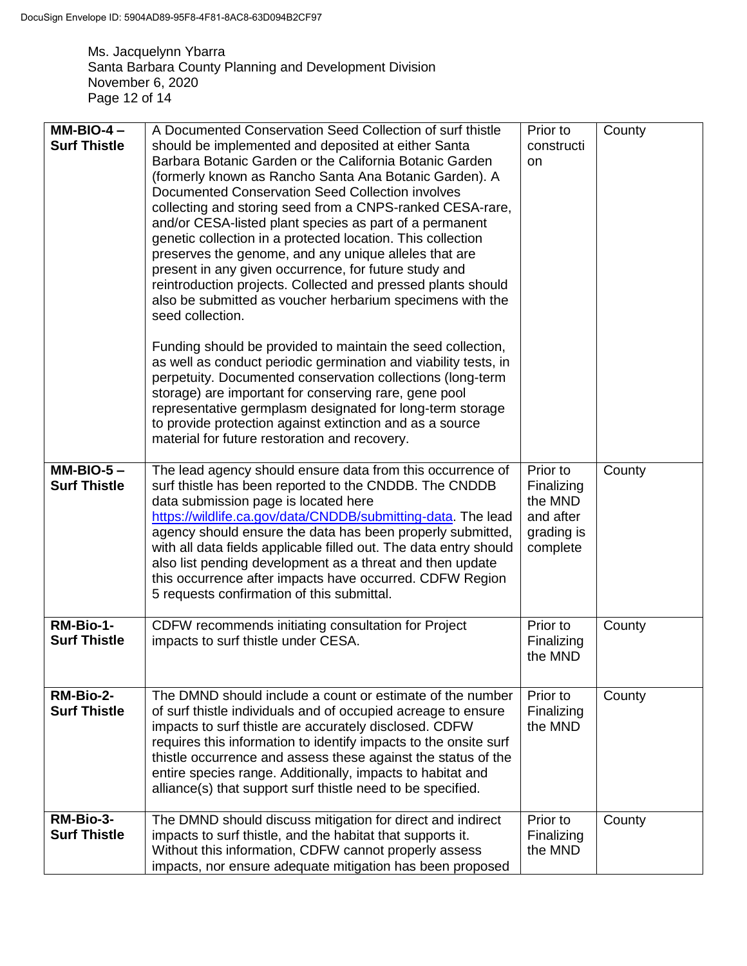Ms. Jacquelynn Ybarra Santa Barbara County Planning and Development Division November 6, 2020 Page 12 of 14

| $MM-BIO-4-$<br><b>Surf Thistle</b> | A Documented Conservation Seed Collection of surf thistle<br>should be implemented and deposited at either Santa<br>Barbara Botanic Garden or the California Botanic Garden<br>(formerly known as Rancho Santa Ana Botanic Garden). A<br>Documented Conservation Seed Collection involves<br>collecting and storing seed from a CNPS-ranked CESA-rare,<br>and/or CESA-listed plant species as part of a permanent<br>genetic collection in a protected location. This collection<br>preserves the genome, and any unique alleles that are<br>present in any given occurrence, for future study and<br>reintroduction projects. Collected and pressed plants should<br>also be submitted as voucher herbarium specimens with the<br>seed collection. | Prior to<br>constructi<br>on                                             | County |
|------------------------------------|-----------------------------------------------------------------------------------------------------------------------------------------------------------------------------------------------------------------------------------------------------------------------------------------------------------------------------------------------------------------------------------------------------------------------------------------------------------------------------------------------------------------------------------------------------------------------------------------------------------------------------------------------------------------------------------------------------------------------------------------------------|--------------------------------------------------------------------------|--------|
|                                    | Funding should be provided to maintain the seed collection,<br>as well as conduct periodic germination and viability tests, in<br>perpetuity. Documented conservation collections (long-term<br>storage) are important for conserving rare, gene pool<br>representative germplasm designated for long-term storage<br>to provide protection against extinction and as a source<br>material for future restoration and recovery.                                                                                                                                                                                                                                                                                                                     |                                                                          |        |
| $MM-BIO-5-$<br><b>Surf Thistle</b> | The lead agency should ensure data from this occurrence of<br>surf thistle has been reported to the CNDDB. The CNDDB<br>data submission page is located here<br>https://wildlife.ca.gov/data/CNDDB/submitting-data. The lead<br>agency should ensure the data has been properly submitted,<br>with all data fields applicable filled out. The data entry should<br>also list pending development as a threat and then update<br>this occurrence after impacts have occurred. CDFW Region<br>5 requests confirmation of this submittal.                                                                                                                                                                                                              | Prior to<br>Finalizing<br>the MND<br>and after<br>grading is<br>complete | County |
| RM-Bio-1-<br><b>Surf Thistle</b>   | CDFW recommends initiating consultation for Project<br>impacts to surf thistle under CESA.                                                                                                                                                                                                                                                                                                                                                                                                                                                                                                                                                                                                                                                          | Prior to<br>Finalizing<br>the MND                                        | County |
| RM-Bio-2-<br><b>Surf Thistle</b>   | The DMND should include a count or estimate of the number<br>of surf thistle individuals and of occupied acreage to ensure<br>impacts to surf thistle are accurately disclosed. CDFW<br>requires this information to identify impacts to the onsite surf<br>thistle occurrence and assess these against the status of the<br>entire species range. Additionally, impacts to habitat and<br>alliance(s) that support surf thistle need to be specified.                                                                                                                                                                                                                                                                                              | Prior to<br>Finalizing<br>the MND                                        | County |
| RM-Bio-3-<br><b>Surf Thistle</b>   | The DMND should discuss mitigation for direct and indirect<br>impacts to surf thistle, and the habitat that supports it.<br>Without this information, CDFW cannot properly assess<br>impacts, nor ensure adequate mitigation has been proposed                                                                                                                                                                                                                                                                                                                                                                                                                                                                                                      | Prior to<br>Finalizing<br>the MND                                        | County |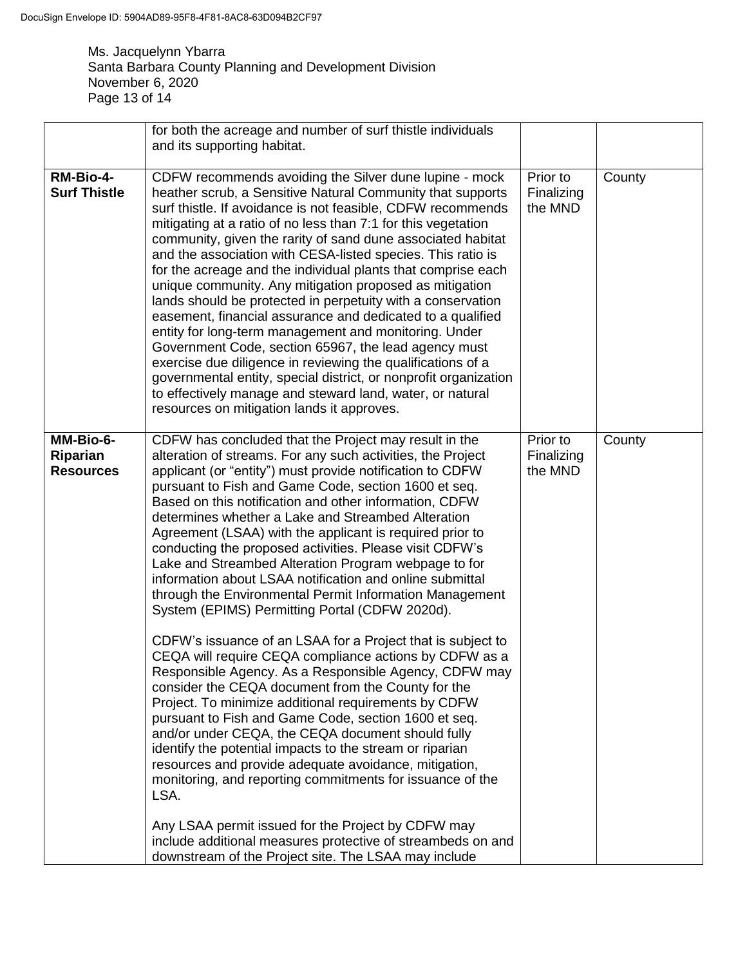Ms. Jacquelynn Ybarra Santa Barbara County Planning and Development Division November 6, 2020 Page 13 of 14

| for both the acreage and number of surf thistle individuals                                                                                                                                                                                                                                                                                                                                                                                                                                                                                                                                                                                                                                                                                                                                                                                                                                                                                                                                                                                                                                                                                                                                                                                                                                                                                                                                                                                   |                                                                                     |        |
|-----------------------------------------------------------------------------------------------------------------------------------------------------------------------------------------------------------------------------------------------------------------------------------------------------------------------------------------------------------------------------------------------------------------------------------------------------------------------------------------------------------------------------------------------------------------------------------------------------------------------------------------------------------------------------------------------------------------------------------------------------------------------------------------------------------------------------------------------------------------------------------------------------------------------------------------------------------------------------------------------------------------------------------------------------------------------------------------------------------------------------------------------------------------------------------------------------------------------------------------------------------------------------------------------------------------------------------------------------------------------------------------------------------------------------------------------|-------------------------------------------------------------------------------------|--------|
|                                                                                                                                                                                                                                                                                                                                                                                                                                                                                                                                                                                                                                                                                                                                                                                                                                                                                                                                                                                                                                                                                                                                                                                                                                                                                                                                                                                                                                               |                                                                                     |        |
| CDFW recommends avoiding the Silver dune lupine - mock<br>heather scrub, a Sensitive Natural Community that supports<br>surf thistle. If avoidance is not feasible, CDFW recommends<br>mitigating at a ratio of no less than 7:1 for this vegetation<br>community, given the rarity of sand dune associated habitat<br>and the association with CESA-listed species. This ratio is<br>for the acreage and the individual plants that comprise each<br>unique community. Any mitigation proposed as mitigation<br>lands should be protected in perpetuity with a conservation<br>easement, financial assurance and dedicated to a qualified<br>entity for long-term management and monitoring. Under<br>Government Code, section 65967, the lead agency must<br>exercise due diligence in reviewing the qualifications of a<br>governmental entity, special district, or nonprofit organization<br>to effectively manage and steward land, water, or natural<br>resources on mitigation lands it approves.                                                                                                                                                                                                                                                                                                                                                                                                                                     | Prior to<br>Finalizing<br>the MND                                                   | County |
| CDFW has concluded that the Project may result in the<br>alteration of streams. For any such activities, the Project<br>applicant (or "entity") must provide notification to CDFW<br>pursuant to Fish and Game Code, section 1600 et seq.<br>Based on this notification and other information, CDFW<br>determines whether a Lake and Streambed Alteration<br>Agreement (LSAA) with the applicant is required prior to<br>conducting the proposed activities. Please visit CDFW's<br>Lake and Streambed Alteration Program webpage to for<br>information about LSAA notification and online submittal<br>through the Environmental Permit Information Management<br>System (EPIMS) Permitting Portal (CDFW 2020d).<br>CDFW's issuance of an LSAA for a Project that is subject to<br>CEQA will require CEQA compliance actions by CDFW as a<br>Responsible Agency. As a Responsible Agency, CDFW may<br>consider the CEQA document from the County for the<br>Project. To minimize additional requirements by CDFW<br>pursuant to Fish and Game Code, section 1600 et seq.<br>and/or under CEQA, the CEQA document should fully<br>identify the potential impacts to the stream or riparian<br>resources and provide adequate avoidance, mitigation,<br>monitoring, and reporting commitments for issuance of the<br>LSA.<br>Any LSAA permit issued for the Project by CDFW may<br>include additional measures protective of streambeds on and | Prior to<br>Finalizing<br>the MND                                                   | County |
|                                                                                                                                                                                                                                                                                                                                                                                                                                                                                                                                                                                                                                                                                                                                                                                                                                                                                                                                                                                                                                                                                                                                                                                                                                                                                                                                                                                                                                               | and its supporting habitat.<br>downstream of the Project site. The LSAA may include |        |